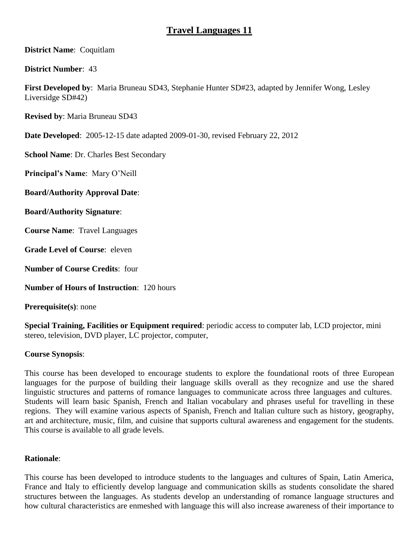# **Travel Languages 11**

**District Name**: Coquitlam

**District Number**: 43

**First Developed by**: Maria Bruneau SD43, Stephanie Hunter SD#23, adapted by Jennifer Wong, Lesley Liversidge SD#42)

**Revised by**: Maria Bruneau SD43

**Date Developed**: 2005-12-15 date adapted 2009-01-30, revised February 22, 2012

**School Name**: Dr. Charles Best Secondary

**Principal's Name**: Mary O'Neill

**Board/Authority Approval Date**:

**Board/Authority Signature**:

**Course Name**: Travel Languages

**Grade Level of Course**: eleven

**Number of Course Credits**: four

**Number of Hours of Instruction**: 120 hours

**Prerequisite(s)**: none

**Special Training, Facilities or Equipment required**: periodic access to computer lab, LCD projector, mini stereo, television, DVD player, LC projector, computer,

## **Course Synopsis**:

This course has been developed to encourage students to explore the foundational roots of three European languages for the purpose of building their language skills overall as they recognize and use the shared linguistic structures and patterns of romance languages to communicate across three languages and cultures. Students will learn basic Spanish, French and Italian vocabulary and phrases useful for travelling in these regions. They will examine various aspects of Spanish, French and Italian culture such as history, geography, art and architecture, music, film, and cuisine that supports cultural awareness and engagement for the students. This course is available to all grade levels.

## **Rationale**:

This course has been developed to introduce students to the languages and cultures of Spain, Latin America, France and Italy to efficiently develop language and communication skills as students consolidate the shared structures between the languages. As students develop an understanding of romance language structures and how cultural characteristics are enmeshed with language this will also increase awareness of their importance to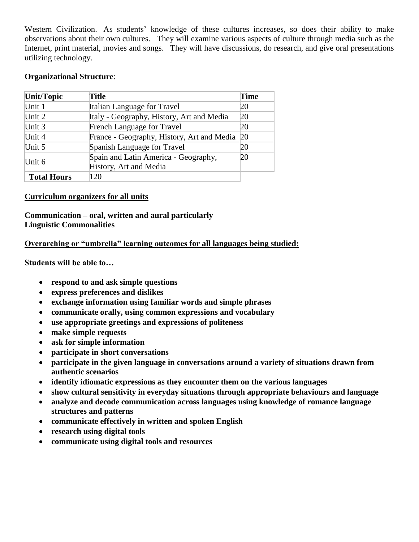Western Civilization. As students' knowledge of these cultures increases, so does their ability to make observations about their own cultures. They will examine various aspects of culture through media such as the Internet, print material, movies and songs. They will have discussions, do research, and give oral presentations utilizing technology.

## **Organizational Structure**:

| Unit/Topic         | Title                                                          | Time      |
|--------------------|----------------------------------------------------------------|-----------|
| Unit 1             | Italian Language for Travel                                    | 20        |
| Unit $2$           | Italy - Geography, History, Art and Media                      | 20        |
| Unit $3$           | French Language for Travel                                     | 20        |
| Unit 4             | France - Geography, History, Art and Media                     | <b>20</b> |
| Unit $5$           | Spanish Language for Travel                                    | 20        |
| Unit 6             | Spain and Latin America - Geography,<br>History, Art and Media | 20        |
| <b>Total Hours</b> | 120                                                            |           |

#### **Curriculum organizers for all units**

## **Communication – oral, written and aural particularly Linguistic Commonalities**

#### **Overarching or "umbrella" learning outcomes for all languages being studied:**

**Students will be able to…**

- **respond to and ask simple questions**
- **express preferences and dislikes**
- **exchange information using familiar words and simple phrases**
- **communicate orally, using common expressions and vocabulary**
- **use appropriate greetings and expressions of politeness**
- **make simple requests**
- **ask for simple information**
- **participate in short conversations**
- **participate in the given language in conversations around a variety of situations drawn from authentic scenarios**
- **identify idiomatic expressions as they encounter them on the various languages**
- **show cultural sensitivity in everyday situations through appropriate behaviours and language**
- **analyze and decode communication across languages using knowledge of romance language structures and patterns**
- **communicate effectively in written and spoken English**
- **research using digital tools**
- **communicate using digital tools and resources**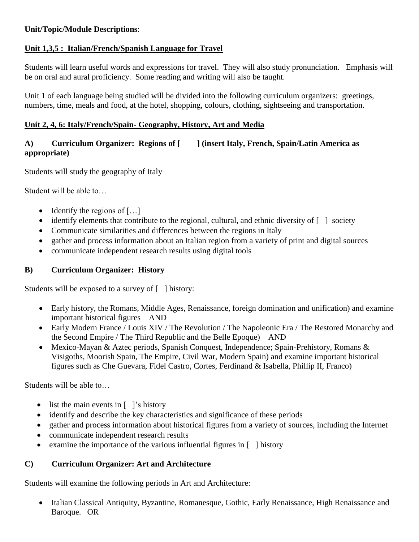## **Unit/Topic/Module Descriptions**:

## **Unit 1,3,5 : Italian/French/Spanish Language for Travel**

Students will learn useful words and expressions for travel. They will also study pronunciation. Emphasis will be on oral and aural proficiency. Some reading and writing will also be taught.

Unit 1 of each language being studied will be divided into the following curriculum organizers: greetings, numbers, time, meals and food, at the hotel, shopping, colours, clothing, sightseeing and transportation.

## **Unit 2, 4, 6: Italy/French/Spain- Geography, History, Art and Media**

## **A) Curriculum Organizer: Regions of [ ] (insert Italy, French, Spain/Latin America as appropriate)**

Students will study the geography of Italy

Student will be able to…

- $\bullet$  Identify the regions of [...]
- identify elements that contribute to the regional, cultural, and ethnic diversity of [ ] society
- Communicate similarities and differences between the regions in Italy
- gather and process information about an Italian region from a variety of print and digital sources
- communicate independent research results using digital tools

## **B) Curriculum Organizer: History**

Students will be exposed to a survey of [ ] history:

- Early history, the Romans, Middle Ages, Renaissance, foreign domination and unification) and examine important historical figures AND
- Early Modern France / Louis XIV / The Revolution / The Napoleonic Era / The Restored Monarchy and the Second Empire / The Third Republic and the Belle Epoque) AND
- Mexico-Mayan & Aztec periods, Spanish Conquest, Independence; Spain-Prehistory, Romans & Visigoths, Moorish Spain, The Empire, Civil War, Modern Spain) and examine important historical figures such as Che Guevara, Fidel Castro, Cortes, Ferdinand & Isabella, Phillip II, Franco)

Students will be able to…

- list the main events in  $\lceil \cdot \rceil$ 's history
- identify and describe the key characteristics and significance of these periods
- gather and process information about historical figures from a variety of sources, including the Internet
- communicate independent research results
- examine the importance of the various influential figures in  $\lceil \cdot \rceil$  history

## **C) Curriculum Organizer: Art and Architecture**

Students will examine the following periods in Art and Architecture:

• Italian Classical Antiquity, Byzantine, Romanesque, Gothic, Early Renaissance, High Renaissance and Baroque. OR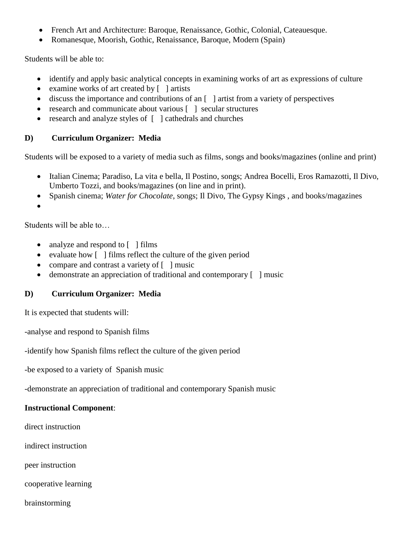- French Art and Architecture: Baroque, Renaissance, Gothic, Colonial, Cateauesque.
- Romanesque, Moorish, Gothic, Renaissance, Baroque, Modern (Spain)

Students will be able to:

- identify and apply basic analytical concepts in examining works of art as expressions of culture
- examine works of art created by [ ] artists
- $\bullet$  discuss the importance and contributions of an  $\lceil \cdot \rceil$  artist from a variety of perspectives
- research and communicate about various [ ] secular structures
- research and analyze styles of [ ] cathedrals and churches

## **D) Curriculum Organizer: Media**

Students will be exposed to a variety of media such as films, songs and books/magazines (online and print)

- Italian Cinema; Paradiso, La vita e bella, Il Postino, songs; Andrea Bocelli, Eros Ramazotti, Il Divo, Umberto Tozzi, and books/magazines (on line and in print).
- Spanish cinema; *Water for Chocolate*, songs; Il Divo, The Gypsy Kings , and books/magazines

 $\bullet$ 

Students will be able to…

- analyze and respond to [ ] films
- evaluate how  $\lceil \cdot \rceil$  films reflect the culture of the given period
- compare and contrast a variety of [ ] music
- demonstrate an appreciation of traditional and contemporary [ ] music

# **D) Curriculum Organizer: Media**

It is expected that students will:

-analyse and respond to Spanish films

-identify how Spanish films reflect the culture of the given period

-be exposed to a variety of Spanish music

-demonstrate an appreciation of traditional and contemporary Spanish music

## **Instructional Component**:

direct instruction

indirect instruction

peer instruction

cooperative learning

brainstorming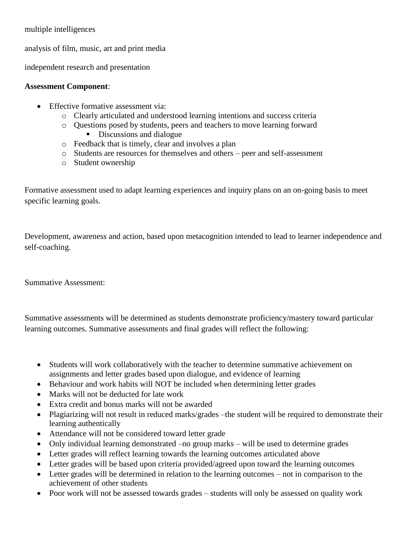## multiple intelligences

analysis of film, music, art and print media

independent research and presentation

## **Assessment Component**:

- Effective formative assessment via:
	- o Clearly articulated and understood learning intentions and success criteria
	- o Questions posed by students, peers and teachers to move learning forward Discussions and dialogue
	- o Feedback that is timely, clear and involves a plan
	- o Students are resources for themselves and others peer and self-assessment
	- o Student ownership

Formative assessment used to adapt learning experiences and inquiry plans on an on-going basis to meet specific learning goals.

Development, awareness and action, based upon metacognition intended to lead to learner independence and self-coaching.

Summative Assessment:

Summative assessments will be determined as students demonstrate proficiency/mastery toward particular learning outcomes. Summative assessments and final grades will reflect the following:

- Students will work collaboratively with the teacher to determine summative achievement on assignments and letter grades based upon dialogue, and evidence of learning
- Behaviour and work habits will NOT be included when determining letter grades
- Marks will not be deducted for late work
- Extra credit and bonus marks will not be awarded
- Plagiarizing will not result in reduced marks/grades –the student will be required to demonstrate their learning authentically
- Attendance will not be considered toward letter grade
- Only individual learning demonstrated –no group marks will be used to determine grades
- Letter grades will reflect learning towards the learning outcomes articulated above
- Letter grades will be based upon criteria provided/agreed upon toward the learning outcomes
- Letter grades will be determined in relation to the learning outcomes not in comparison to the achievement of other students
- Poor work will not be assessed towards grades students will only be assessed on quality work